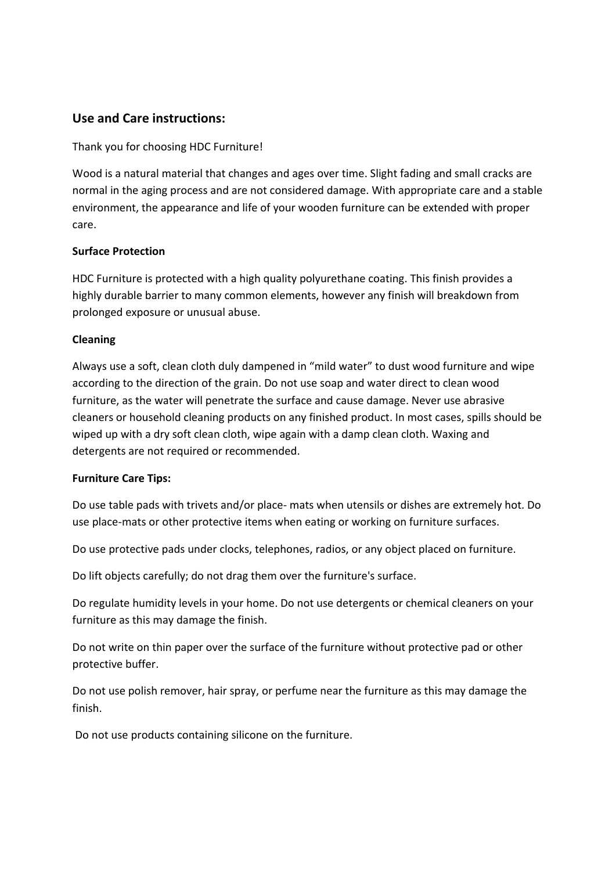# **Use and Care instructions:**

#### Thank you for choosing HDC Furniture!

Wood is a natural material that changes and ages over time. Slight fading and small cracks are normal in the aging process and are not considered damage. With appropriate care and a stable environment, the appearance and life of your wooden furniture can be extended with proper care.

#### **Surface Protection**

HDC Furniture is protected with a high quality polyurethane coating. This finish provides a highly durable barrier to many common elements, however any finish will breakdown from prolonged exposure or unusual abuse.

#### **Cleaning**

Always use a soft, clean cloth duly dampened in "mild water" to dust wood furniture and wipe according to the direction of the grain. Do not use soap and water direct to clean wood furniture, as the water will penetrate the surface and cause damage. Never use abrasive cleaners or household cleaning products on any finished product. In most cases, spills should be wiped up with a dry soft clean cloth, wipe again with a damp clean cloth. Waxing and detergents are not required or recommended.

### **Furniture Care Tips:**

Do use table pads with trivets and/or place- mats when utensils or dishes are extremely hot. Do use place‐mats or other protective items when eating or working on furniture surfaces.

Do use protective pads under clocks, telephones, radios, or any object placed on furniture.

Do lift objects carefully; do not drag them over the furniture's surface.

Do regulate humidity levels in your home. Do not use detergents or chemical cleaners on your furniture as this may damage the finish.

Do not write on thin paper over the surface of the furniture without protective pad or other protective buffer.

Do not use polish remover, hair spray, or perfume near the furniture as this may damage the finish.

Do not use products containing silicone on the furniture.